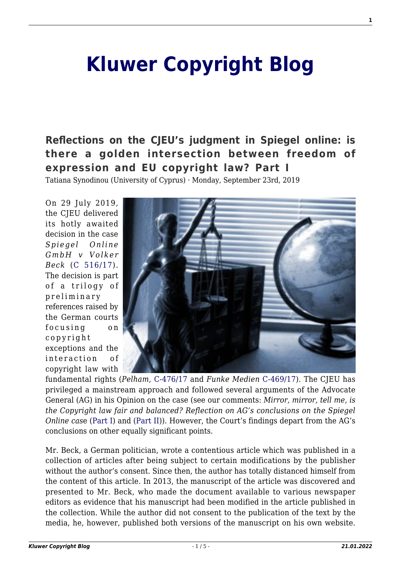# **[Kluwer Copyright Blog](http://copyrightblog.kluweriplaw.com/)**

## **[Reflections on the CJEU's judgment in Spiegel online: is](http://copyrightblog.kluweriplaw.com/2019/09/23/reflections-on-the-cjeus-judgment-in-spiegel-online-is-there-a-golden-intersection-between-freedom-of-expression-and-eu-copyright-law-part-i/) [there a golden intersection between freedom of](http://copyrightblog.kluweriplaw.com/2019/09/23/reflections-on-the-cjeus-judgment-in-spiegel-online-is-there-a-golden-intersection-between-freedom-of-expression-and-eu-copyright-law-part-i/) [expression and EU copyright law? Part I](http://copyrightblog.kluweriplaw.com/2019/09/23/reflections-on-the-cjeus-judgment-in-spiegel-online-is-there-a-golden-intersection-between-freedom-of-expression-and-eu-copyright-law-part-i/)**

Tatiana Synodinou (University of Cyprus) · Monday, September 23rd, 2019

On 29 July 2019, the CJEU delivered its hotly awaited decision in the case *Spiegel Online GmbH v Volker Beck* ([C 516/17](http://curia.europa.eu/juris/document/document.jsf;jsessionid=5902613C45B36CD9429F60C96EDE50AB?text=&docid=216543&pageIndex=0&doclang=en&mode=lst&dir=&occ=first&part=1&cid=14966741)). The decision is part of a trilogy of preliminary references raised by the German courts focusing on copyright exceptions and the interaction of copyright law with



fundamental rights (*Pelham,* [C‑476/17](http://curia.europa.eu/juris/document/document.jsf?text=&docid=216552&pageIndex=0&doclang=en&mode=lst&dir=&occ=first&part=1&cid=14967152) and *Funke Medien* [C-469/17](http://curia.europa.eu/juris/document/document.jsf?text=&docid=216545&pageIndex=0&doclang=en&mode=lst&dir=&occ=first&part=1&cid=14967341)). The CJEU has privileged a mainstream approach and followed several arguments of the Advocate General (AG) in his Opinion on the case (see our comments: *Mirror, mirror, tell me, is the Copyright law fair and balanced? Reflection on AG's conclusions on the Spiegel Online cas*e [\(Part I](http://copyrightblog.kluweriplaw.com/2019/02/15/mirror-mirror-tell-me-is-the-copyright-law-fair-and-balanced-reflection-on-ags-conclusions-on-the-spiegel-online-case-part-i/)) and [\(Part II](http://copyrightblog.kluweriplaw.com/2019/02/21/mirror-mirror-tell-me-is-the-copyright-law-fair-and-balanced-reflection-on-ags-conclusions-on-the-spiegel-online-case-part-ii/))). However, the Court's findings depart from the AG's conclusions on other equally significant points.

Mr. Beck, a German politician, wrote a contentious article which was published in a collection of articles after being subject to certain modifications by the publisher without the author's consent. Since then, the author has totally distanced himself from the content of this article. In 2013, the manuscript of the article was discovered and presented to Mr. Beck, who made the document available to various newspaper editors as evidence that his manuscript had been modified in the article published in the collection. While the author did not consent to the publication of the text by the media, he, however, published both versions of the manuscript on his own website.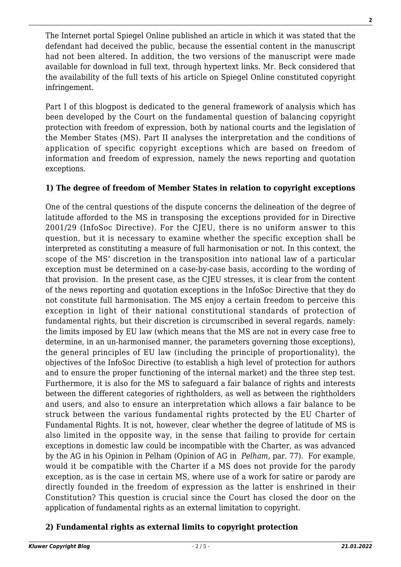The Internet portal Spiegel Online published an article in which it was stated that the defendant had deceived the public, because the essential content in the manuscript had not been altered. In addition, the two versions of the manuscript were made available for download in full text, through hypertext links. Mr. Beck considered that the availability of the full texts of his article on Spiegel Online constituted copyright infringement.

Part I of this blogpost is dedicated to the general framework of analysis which has been developed by the Court on the fundamental question of balancing copyright protection with freedom of expression, both by national courts and the legislation of the Member States (MS). Part II analyses the interpretation and the conditions of application of specific copyright exceptions which are based on freedom of information and freedom of expression, namely the news reporting and quotation exceptions.

#### **1) The degree of freedom of Member States in relation to copyright exceptions**

One of the central questions of the dispute concerns the delineation of the degree of latitude afforded to the MS in transposing the exceptions provided for in Directive 2001/29 (InfoSoc Directive). For the CJEU, there is no uniform answer to this question, but it is necessary to examine whether the specific exception shall be interpreted as constituting a measure of full harmonisation or not. In this context, the scope of the MS' discretion in the transposition into national law of a particular exception must be determined on a case-by-case basis, according to the wording of that provision. In the present case, as the CJEU stresses, it is clear from the content of the news reporting and quotation exceptions in the InfoSoc Directive that they do not constitute full harmonisation. The MS enjoy a certain freedom to perceive this exception in light of their national constitutional standards of protection of fundamental rights, but their discretion is circumscribed in several regards, namely: the limits imposed by EU law (which means that the MS are not in every case free to determine, in an un-harmonised manner, the parameters governing those exceptions), the general principles of EU law (including the principle of proportionality), the objectives of the InfoSoc Directive (to establish a high level of protection for authors and to ensure the proper functioning of the internal market) and the three step test. Furthermore, it is also for the MS to safeguard a fair balance of rights and interests between the different categories of rightholders, as well as between the rightholders and users, and also to ensure an interpretation which allows a fair balance to be struck between the various fundamental rights protected by the EU Charter of Fundamental Rights. It is not, however, clear whether the degree of latitude of MS is also limited in the opposite way, in the sense that failing to provide for certain exceptions in domestic law could be incompatible with the Charter, as was advanced by the AG in his Opinion in Pelham (Opinion of AG in *Pelham,* par. 77). For example, would it be compatible with the Charter if a MS does not provide for the parody exception, as is the case in certain MS, where use of a work for satire or parody are directly founded in the freedom of expression as the latter is enshrined in their Constitution? This question is crucial since the Court has closed the door on the application of fundamental rights as an external limitation to copyright.

#### **2) Fundamental rights as external limits to copyright protection**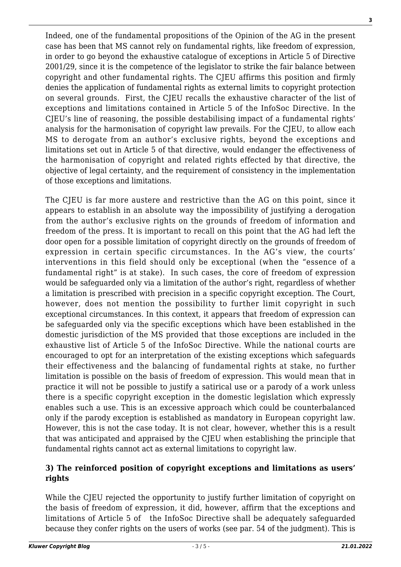Indeed, one of the fundamental propositions of the Opinion of the AG in the present

**3**

case has been that MS cannot rely on fundamental rights, like freedom of expression, in order to go beyond the exhaustive catalogue of exceptions in Article 5 of Directive 2001/29, since it is the competence of the legislator to strike the fair balance between copyright and other fundamental rights. The CJEU affirms this position and firmly denies the application of fundamental rights as external limits to copyright protection on several grounds. First, the CJEU recalls the exhaustive character of the list of exceptions and limitations contained in Article 5 of the InfoSoc Directive. In the CJEU's line of reasoning, the possible destabilising impact of a fundamental rights' analysis for the harmonisation of copyright law prevails. For the CJEU, to allow each MS to derogate from an author's exclusive rights, beyond the exceptions and limitations set out in Article 5 of that directive, would endanger the effectiveness of the harmonisation of copyright and related rights effected by that directive, the objective of legal certainty, and the requirement of consistency in the implementation of those exceptions and limitations.

The CJEU is far more austere and restrictive than the AG on this point, since it appears to establish in an absolute way the impossibility of justifying a derogation from the author's exclusive rights on the grounds of freedom of information and freedom of the press. It is important to recall on this point that the AG had left the door open for a possible limitation of copyright directly on the grounds of freedom of expression in certain specific circumstances. In the AG's view, the courts' interventions in this field should only be exceptional (when the "essence of a fundamental right" is at stake). In such cases, the core of freedom of expression would be safeguarded only via a limitation of the author's right, regardless of whether a limitation is prescribed with precision in a specific copyright exception. The Court, however, does not mention the possibility to further limit copyright in such exceptional circumstances. In this context, it appears that freedom of expression can be safeguarded only via the specific exceptions which have been established in the domestic jurisdiction of the MS provided that those exceptions are included in the exhaustive list of Article 5 of the InfoSoc Directive. While the national courts are encouraged to opt for an interpretation of the existing exceptions which safeguards their effectiveness and the balancing of fundamental rights at stake, no further limitation is possible on the basis of freedom of expression. This would mean that in practice it will not be possible to justify a satirical use or a parody of a work unless there is a specific copyright exception in the domestic legislation which expressly enables such a use. This is an excessive approach which could be counterbalanced only if the parody exception is established as mandatory in European copyright law. However, this is not the case today. It is not clear, however, whether this is a result that was anticipated and appraised by the CJEU when establishing the principle that fundamental rights cannot act as external limitations to copyright law.

### **3) The reinforced position of copyright exceptions and limitations as users' rights**

While the CJEU rejected the opportunity to justify further limitation of copyright on the basis of freedom of expression, it did, however, affirm that the exceptions and limitations of Article 5 of the InfoSoc Directive shall be adequately safeguarded because they confer rights on the users of works (see par. 54 of the judgment). This is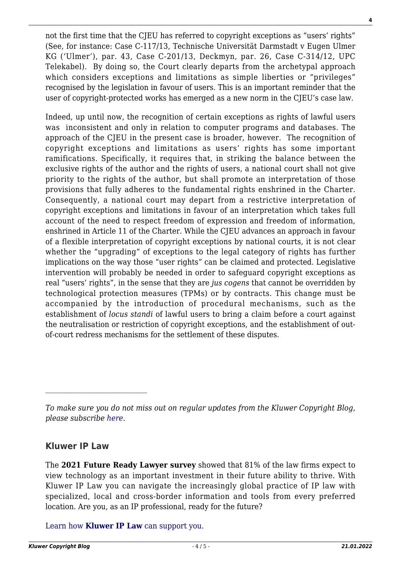not the first time that the CJEU has referred to copyright exceptions as "users' rights" (See, for instance: Case C-117/13, Technische Universität Darmstadt v Eugen Ulmer KG ('Ulmer'), par. 43, Case C-201/13, Deckmyn, par. 26, Case C-314/12, UPC Telekabel). By doing so, the Court clearly departs from the archetypal approach which considers exceptions and limitations as simple liberties or "privileges" recognised by the legislation in favour of users. This is an important reminder that the user of copyright-protected works has emerged as a new norm in the CJEU's case law.

Indeed, up until now, the recognition of certain exceptions as rights of lawful users was inconsistent and only in relation to computer programs and databases. The approach of the CJEU in the present case is broader, however. The recognition of copyright exceptions and limitations as users' rights has some important ramifications. Specifically, it requires that, in striking the balance between the exclusive rights of the author and the rights of users, a national court shall not give priority to the rights of the author, but shall promote an interpretation of those provisions that fully adheres to the fundamental rights enshrined in the Charter. Consequently, a national court may depart from a restrictive interpretation of copyright exceptions and limitations in favour of an interpretation which takes full account of the need to respect freedom of expression and freedom of information, enshrined in Article 11 of the Charter. While the CJEU advances an approach in favour of a flexible interpretation of copyright exceptions by national courts, it is not clear whether the "upgrading" of exceptions to the legal category of rights has further implications on the way those "user rights" can be claimed and protected. Legislative intervention will probably be needed in order to safeguard copyright exceptions as real "users' rights", in the sense that they are *jus cogens* that cannot be overridden by technological protection measures (TPMs) or by contracts. This change must be accompanied by the introduction of procedural mechanisms, such as the establishment of *locus standi* of lawful users to bring a claim before a court against the neutralisation or restriction of copyright exceptions, and the establishment of outof-court redress mechanisms for the settlement of these disputes.

#### **Kluwer IP Law**

 $\mathcal{L}_\text{max}$ 

The **2021 Future Ready Lawyer survey** showed that 81% of the law firms expect to view technology as an important investment in their future ability to thrive. With Kluwer IP Law you can navigate the increasingly global practice of IP law with specialized, local and cross-border information and tools from every preferred location. Are you, as an IP professional, ready for the future?

[Learn how](https://www.wolterskluwer.com/en/solutions/kluweriplaw?utm_source=copyrightnblog&utm_medium=articleCTA&utm_campaign=article-banner) **[Kluwer IP Law](https://www.wolterskluwer.com/en/solutions/kluweriplaw?utm_source=copyrightnblog&utm_medium=articleCTA&utm_campaign=article-banner)** [can support you.](https://www.wolterskluwer.com/en/solutions/kluweriplaw?utm_source=copyrightnblog&utm_medium=articleCTA&utm_campaign=article-banner)

*To make sure you do not miss out on regular updates from the Kluwer Copyright Blog, please subscribe [here.](http://copyrightblog.kluweriplaw.com/newsletter)*